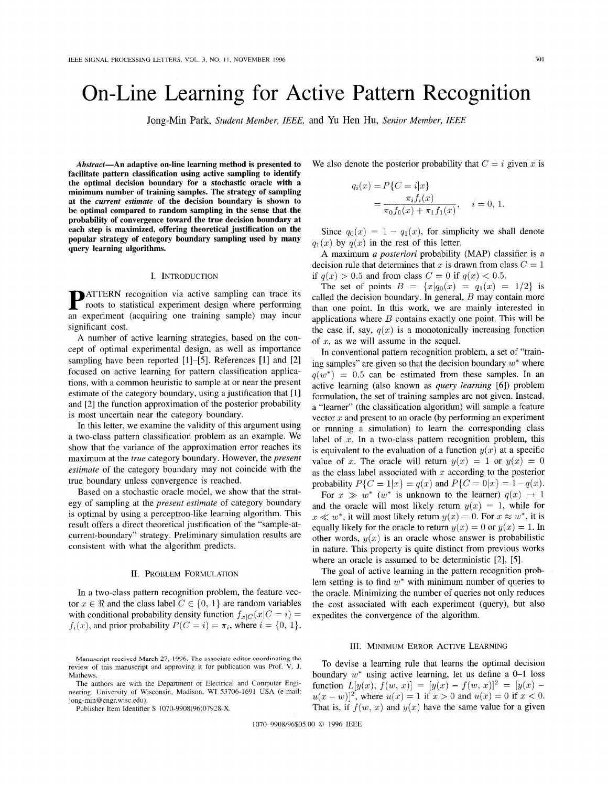# On-Line Learning for Active Pattern Recognition

Jong-Min Park, *Student Member, IEEE,* and Yu Hen Hu, *Senior Member, IEEE* 

**Abstract-An adaptive on-line learning method is presented to facilitate pattern classification using active sampling to identify the optimal decision boundary for a stochastic oracle with a minimum number of training samples. The strategy of sampling at the current estimate of the decision boundary is shown to be optimal compared to random sampling in the sense that the probability of convergence toward the true decision boundary at each step is maximized, offering theoretical justification on the popular strategy of category boundary sampling used by many query learning algorithms.** 

#### I. INTRODUCTION

**PATTERN** recognition via active sampling can trace its roots to statistical experiment design where performing an experiment (acquiring one training sample) may incur significant cost.

**A** number of active learning strategies, based on the concept of optimal experimental design, as well as importance sampling have been reported [1]-[5]. References [l] and [2] focused on active learning for pattern classification applications, with a common heuristic to sample at or near the present estimate of the category boundary, using a justification that [I] and [2] the function approximation of the posterior probability is most uncertain near the category boundary.

In this letter, we examine the validity of this argument using a two-class pattern classification problem as an example. We show that the variance of the approximation error reaches its maximum at the *true* category boundary. However, the *present estimate* of the category boundary may not coincide with the true boundary unless convergence is reached.

Based on a stochastic oracle model, we show that the strategy of sampling at the *present estimate* of category boundary is optimal by using a perceptron-like learning algorithm. This result offers a direct theoretical justification of the "sample-atcurrent-boundary'' strategy. Preliminary simulation results are consistent with what the algorithm predicts.

### II. PROBLEM FORMULATION

In a two-class pattern recognition problem, the feature vector  $x \in \Re$  and the class label  $C \in \{0, 1\}$  are random variables with conditional probability density function  $f_{x|C}(x|C = i)$  =  $f_i(x)$ , and prior probability  $P(C = i) = \pi_i$ , where  $i = \{0, 1\}.$ 

We also denote the posterior probability that  $C = i$  given x is

$$
q_i(x) = P\{C = i|x\}
$$
  
= 
$$
\frac{\pi_i f_i(x)}{\pi_0 f_0(x) + \pi_1 f_1(x)}, \quad i = 0, 1.
$$

Since  $q_0(x) = 1 - q_1(x)$ , for simplicity we shall denote  $q_1(x)$  by  $q(x)$  in the rest of this letter.

**A** maximum *a posteriori* probability (MAP) classifier is a decision rule that determines that x is drawn from class  $C = 1$ if  $q(x) > 0.5$  and from class  $C = 0$  if  $q(x) < 0.5$ .

The set of points  $B = \{x | q_0(x) = q_1(x) = 1/2\}$  is called the decision boundary. In general, *B* may contain more than one point. In this work, we are mainly interested in applications where  $B$  contains exactly one point. This will be the case if, say,  $q(x)$  is a monotonically increasing function of  $x$ , as we will assume in the sequel.

In conventional pattern recognition problem, a set of "training samples" are given so that the decision boundary *w\** where  $q(w^*) = 0.5$  can be estimated from these samples. In an active learning (also known as *query learning* [6]) problem formulation, the set of training samples are not given. Instead, a "learner" (the classification algorithm) will sample a feature vector  $x$  and present to an oracle (by performing an experiment or running a simulation) to learn the corresponding class label of  $x$ . In a two-class pattern recognition problem, this is equivalent to the evaluation of a function  $y(x)$  at a specific value of *x*. The oracle will return  $y(x) = 1$  or  $y(x) = 0$ as the class label associated with  $x$  according to the posterior probability  $P\{C = 1|x\} = q(x)$  and  $P\{C = 0|x\} = 1-q(x)$ .

For  $x \gg w^*$  (w<sup>\*</sup> is unknown to the learner)  $q(x) \rightarrow 1$ and the oracle will most likely return  $y(x) = 1$ , while for  $x \ll w^*$ , it will most likely return  $y(x) = 0$ . For  $x \approx w^*$ , it is equally likely for the oracle to return  $y(x) = 0$  or  $y(x) = 1$ . In other words,  $y(x)$  is an oracle whose answer is probabilistic in nature. This property is quite distinct from previous works where an oracle is assumed to be deterministic *[2],* [5].

The goal of active learning in the pattern recognition problem setting is to find *w\** with minimum number of queries to the oracle. Minimizing the number of queries not only reduces the cost associated with each experiment (query), but also expedites the convergence of the algorithm.

#### 111. MINIMUM ERROR ACTIVE LEARNING

Mathews. **boundary**  $w^*$  using active learning, let us define a 0-1 loss function  $L[y(x), f(w, x)] = [y(x) - f(w, x)]^2 = [y(x)$  $u(x - w)^2$ , where  $u(x) = 1$  if  $x > 0$  and  $u(x) = 0$  if  $x < 0$ . That is, if  $f(w, x)$  and  $y(x)$  have the same value for a given

1070-9908/96\$05.00 *0* 1996 IEEE

Manuscript rcceivcd **March** 27, **1996.** The associate editor coordinating the review of this manuscript and approving it for publication was Prof. V. J. To devise a learning rule that learns the optimal decision review of this manuscript and approving it for publication was Prof. V. J.

The authors are with the Department of Electrical and Computer Engineering, University of Wisconsin, Madison, WI 53706-1691 USA (e-mail: jong-min@engr.wisc.edu).<br>Publisher Item Identifier S 1070-9908(96)07928-X.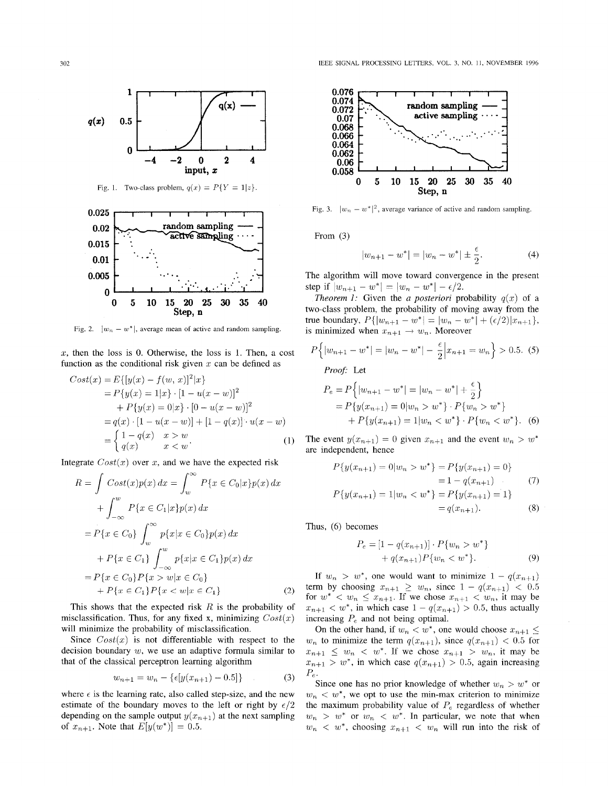

Fig. 1. Two-class problem,  $q(x) = P\{Y = 1 | z\}.$ 



Fig. 2.  $|w_n - w^*|$ , average mean of active and random sampling.

*2,* then the loss is 0. Otherwise, the loss is 1. Then, a cost function as the conditional risk given *x* can be defined as

$$
Cost(x) = E\{[y(x) - f(w, x)]^2 | x\}
$$
  
\n
$$
= P\{y(x) = 1 | x\} \cdot [1 - u(x - w)]^2
$$
  
\n
$$
+ P\{y(x) = 0 | x\} \cdot [0 - u(x - w)]^2
$$
  
\n
$$
= q(x) \cdot [1 - u(x - w)] + [1 - q(x)] \cdot u(x - w)
$$
  
\n
$$
= \begin{cases} 1 - q(x) & x > w \\ q(x) & x < w \end{cases}
$$
  
\n
$$
= \begin{cases} 1 - q(x) & x > w \\ q(x) & x < w \end{cases}
$$
  
\n
$$
= P\{y(x_{n+1}) = 0 | w_n > w^*\} \cdot P\{w_n > w^*\}.
$$
  
\nThe event  $y(x_{n+1}) = 0$  given  $x_{n+1}$  and the event  $w_n > w^*$ 

Integrate  $Cost(x)$  over x, and we have the expected risk

$$
R = \int Cost(x)p(x) dx = \int_w^{\infty} P\{x \in C_0|x\}p(x) dx
$$
  
+ 
$$
\int_{-\infty}^{w} P\{x \in C_1|x\}p(x) dx
$$
  
= 
$$
P\{x \in C_0\} \int_w^{\infty} p\{x|x \in C_0\}p(x) dx
$$
  
+ 
$$
P\{x \in C_1\} \int_{-\infty}^{w} p\{x|x \in C_1\}p(x) dx
$$
  
= 
$$
P\{x \in C_0\}P\{x > w|x \in C_0\}
$$
  
+ 
$$
P\{x \in C_1\}P\{x < w|x \in C_1\}
$$
 (2)

This shows that the expected risk *R* is the probability of misclassification. Thus, for any fixed x, minimizing *Cost(z)*  will minimize the probability of misclassification.

Since  $Cost(x)$  is not differentiable with respect to the decision boundary  $w$ , we use an adaptive formula similar to that of the classical perceptron learning algorithm

$$
w_{n+1} = w_n - \{ \epsilon [y(x_{n+1}) - 0.5] \}
$$
 (3)

where  $\epsilon$  is the learning rate, also called step-size, and the new estimate of the boundary moves to the left or right by  $\epsilon/2$ depending on the sample output  $y(x_{n+1})$  at the next sampling of  $x_{n+1}$ . Note that  $E[y(w^*)] = 0.5$ .



Fig. 3.  $|w_n - w^*|^2$ , average variance of active and random sampling.

From (3)

$$
|w_{n+1} - w^*| = |w_n - w^*| \pm \frac{\epsilon}{2}.
$$
 (4)

The algorithm will move toward convergence in the present step if  $|w_{n+1} - w^*| = |w_n - w^*| - \epsilon/2$ .

*Theorem 1:* Given the *a posteriori* probability  $q(x)$  of a two-class problem, the probability of moving away from the true boundary,  $P\{|w_{n+1} - w^*| = |w_n - w^*| + (\epsilon/2)|x_{n+1}\},\$ is minimized when  $x_{n+1} \rightarrow w_n$ . Moreover

$$
P\left\{|w_{n+1} - w^*| = |w_n - w^*| - \frac{\epsilon}{2} \Big| x_{n+1} = w_n \right\} > 0.5. (5)
$$

*Proof:* Let

$$
P_{\{y(x) = 1 | x\}} \cdot [1 - u(x - w)]^2
$$
\n
$$
P_{\{x(x) = 0 | x\}} \cdot [1 - u(x - w)]^2
$$
\n
$$
P_{\{x(x) = 0 | x\}} \cdot [0 - u(x - w)]^2
$$
\n
$$
P_{\{x(x) = 0 | x\}} \cdot [0 - u(x - w)]^2
$$
\n
$$
P_{\{y(x_{n+1}) = 0 | w_n > w^*\}} \cdot P_{\{w_n > w^*\}}
$$
\n
$$
P_{\{y(x_{n+1}) = 1 | w_n < w^*\}} \cdot P_{\{w_n < w^*\}}.
$$
\n(6)

The event  $y(x_{n+1}) = 0$  given  $x_{n+1}$  and the event  $w_n > w^*$ are independent, hence

$$
P\{y(x_{n+1}) = 0 | w_n > w^*\} = P\{y(x_{n+1}) = 0\}
$$
  
= 1 - q(x\_{n+1}) (7)  

$$
P\{y(x_{n+1}) = 1 | w_n < w^*\} = P\{y(x_{n+1}) = 1\}
$$
  
= q(x\_{n+1}). (8)

Thus, (6) becomes

$$
P_e = [1 - q(x_{n+1})] \cdot P\{w_n > w^*\}
$$
  
+  $q(x_{n+1})P\{w_n < w^*\}.$  (9)

If  $w_n > w^*$ , one would want to minimize  $1 - q(x_{n+1})$ term by choosing  $x_{n+1} \geq w_n$ , since  $1 - q(x_{n+1}) < 0.5$ for  $w^* < w_n \leq x_{n+1}$ . If we chose  $x_{n+1} < w_n$ , it may be  $x_{n+1} < w^*$ , in which case  $1 - q(x_{n+1}) > 0.5$ , thus actually increasing  $P_e$  and not being optimal.

On the other hand, if  $w_n < w^*$ , one would choose  $x_{n+1} \leq$  $w_n$  to minimize the term  $q(x_{n+1})$ , since  $q(x_{n+1}) < 0.5$  for  $x_{n+1} \leq w_n < w^*$ . If we chose  $x_{n+1} > w_n$ , it may be  $x_{n+1} > w^*$ , in which case  $q(x_{n+1}) > 0.5$ , again increasing *P<sub>e</sub>*. Since one has no prior knowledge of whether  $w_n > w^*$  or

 $w_n \, \langle w^*, w$  we opt to use the min-max criterion to minimize the maximum probability value of  $P_e$  regardless of whether  $w_n > w^*$  or  $w_n < w^*$ . In particular, we note that when  $w_n \, < \, w^*$ , choosing  $x_{n+1} \, < \, w_n$  will run into the risk of